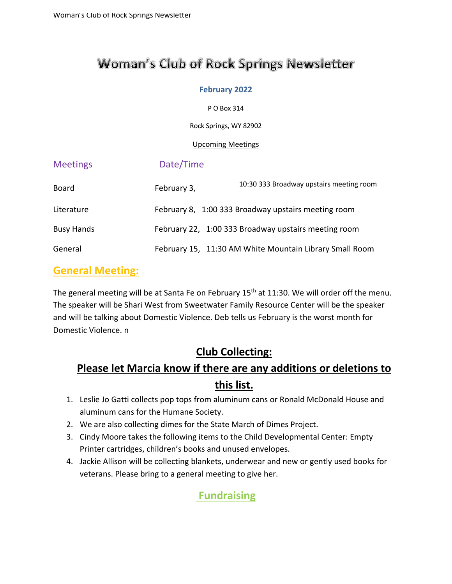# **Woman's Club of Rock Springs Newsletter**

#### **February 2022**

P O Box 314

Rock Springs, WY 82902

#### Upcoming Meetings

| <b>Meetings</b>   | Date/Time   |                                                         |
|-------------------|-------------|---------------------------------------------------------|
| <b>Board</b>      | February 3, | 10:30 333 Broadway upstairs meeting room                |
| Literature        |             | February 8, 1:00 333 Broadway upstairs meeting room     |
| <b>Busy Hands</b> |             | February 22, 1:00 333 Broadway upstairs meeting room    |
| General           |             | February 15, 11:30 AM White Mountain Library Small Room |

### **General Meeting:**

The general meeting will be at Santa Fe on February 15<sup>th</sup> at 11:30. We will order off the menu. The speaker will be Shari West from Sweetwater Family Resource Center will be the speaker and will be talking about Domestic Violence. Deb tells us February is the worst month for Domestic Violence. n

# **Club Collecting:**

# **Please let Marcia know if there are any additions or deletions to this list.**

- 1. Leslie Jo Gatti collects pop tops from aluminum cans or Ronald McDonald House and aluminum cans for the Humane Society.
- 2. We are also collecting dimes for the State March of Dimes Project.
- 3. Cindy Moore takes the following items to the Child Developmental Center: Empty Printer cartridges, children's books and unused envelopes.
- 4. Jackie Allison will be collecting blankets, underwear and new or gently used books for veterans. Please bring to a general meeting to give her.

# **Fundraising**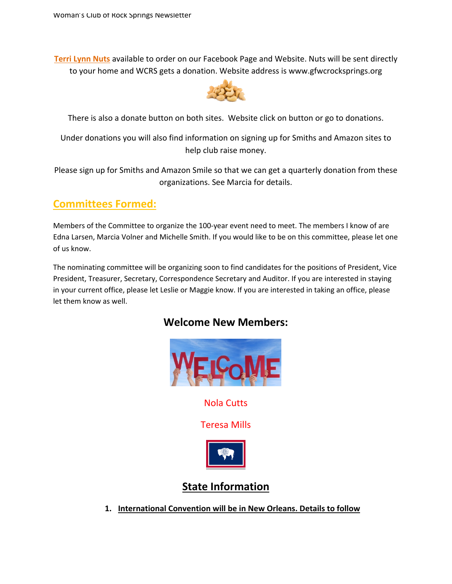**Terri Lynn Nuts** available to order on our Facebook Page and Website. Nuts will be sent directly to your home and WCRS gets a donation. Website address is www.gfwcrocksprings.org



There is also a donate button on both sites. Website click on button or go to donations.

Under donations you will also find information on signing up for Smiths and Amazon sites to help club raise money.

Please sign up for Smiths and Amazon Smile so that we can get a quarterly donation from these organizations. See Marcia for details.

# **Committees Formed:**

Members of the Committee to organize the 100-year event need to meet. The members I know of are Edna Larsen, Marcia Volner and Michelle Smith. If you would like to be on this committee, please let one of us know.

The nominating committee will be organizing soon to find candidates for the positions of President, Vice President, Treasurer, Secretary, Correspondence Secretary and Auditor. If you are interested in staying in your current office, please let Leslie or Maggie know. If you are interested in taking an office, please let them know as well.

### **Welcome New Members:**



Nola Cutts

Teresa Mills



# **State Information**

**1. International Convention will be in New Orleans. Details to follow**